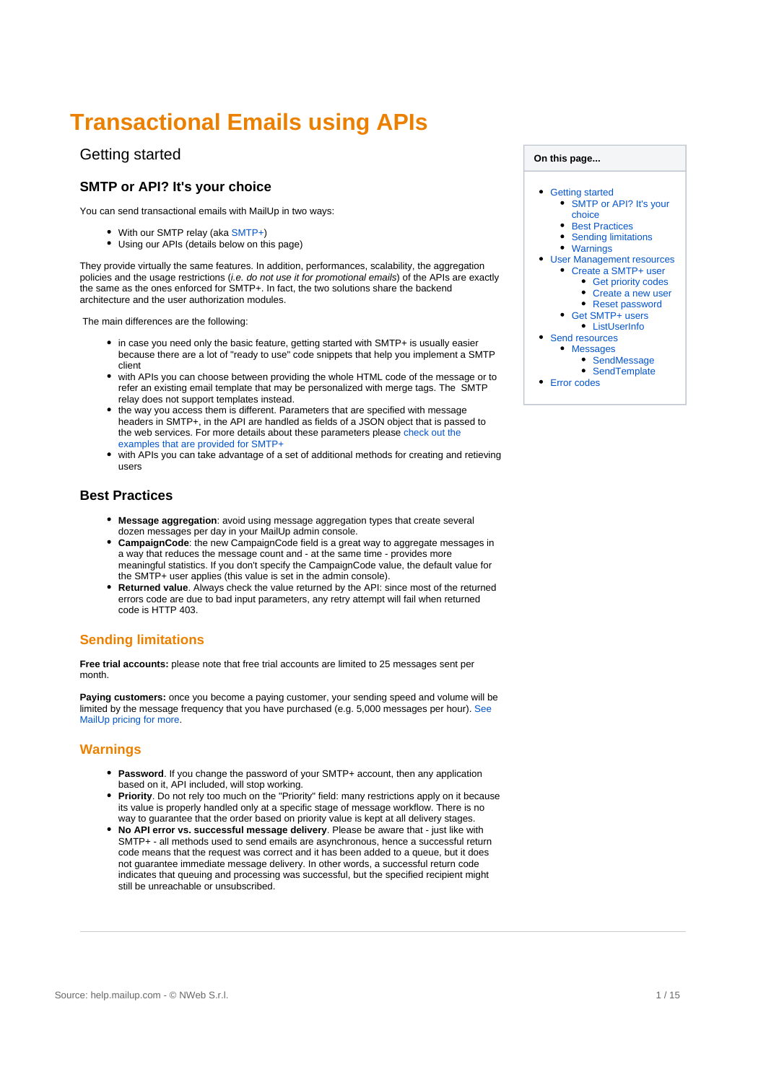# <span id="page-0-0"></span>**Transactional Emails using APIs**

## Getting started

### <span id="page-0-1"></span>**SMTP or API? It's your choice**

You can send transactional emails with Maill In in two ways:

- With our SMTP relay (aka [SMTP+](https://help.mailup.com/display/mailupapi/Release+notes%3A+SMTP+Plus+v2))
- Using our APIs (details below on this page)

They provide virtually the same features. In addition, performances, scalability, the aggregation policies and the usage restrictions (i.e. do not use it for promotional emails) of the APIs are exactly the same as the ones enforced for SMTP+. In fact, the two solutions share the backend architecture and the user authorization modules.

The main differences are the following:

- in case you need only the basic feature, getting started with SMTP+ is usually easier because there are a lot of "ready to use" code snippets that help you implement a SMTP client
- with APIs you can choose between providing the whole HTML code of the message or to refer an existing email template that may be personalized with merge tags. The SMTP relay does not support templates instead.
- the way you access them is different. Parameters that are specified with message headers in SMTP+, in the API are handled as fields of a JSON object that is passed to the web services. For more details about these parameters please check out the [examples that are provided for SMTP+](http://help.mailup.com/display/mailupapi/Using+SMTP+relay+from+your+application#UsingSMTPrelayfromyourapplication-SMTP+:advancedfeaturesandsamplecode)
- with APIs you can take advantage of a set of additional methods for creating and retieving users

#### <span id="page-0-2"></span>**Best Practices**

- **Message aggregation**: avoid using message aggregation types that create several dozen messages per day in your MailUp admin console.
- **CampaignCode**: the new CampaignCode field is a great way to aggregate messages in a way that reduces the message count and - at the same time - provides more meaningful statistics. If you don't specify the CampaignCode value, the default value for the SMTP+ user applies (this value is set in the admin console).
- **Returned value**. Always check the value returned by the API: since most of the returned errors code are due to bad input parameters, any retry attempt will fail when returned code is HTTP 403.

## <span id="page-0-3"></span>**Sending limitations**

**Free trial accounts:** please note that free trial accounts are limited to 25 messages sent per month.

Paying customers: once you become a paying customer, your sending speed and volume will be limited by the message frequency that you have purchased (e.g. 5,000 messages per hour). [See](https://www.mailup.com/pricing)  [MailUp pricing for more.](https://www.mailup.com/pricing)

#### <span id="page-0-4"></span>**Warnings**

- **Password**. If you change the password of your SMTP+ account, then any application based on it, API included, will stop working.
- **Priority**. Do not rely too much on the "Priority" field: many restrictions apply on it because its value is properly handled only at a specific stage of message workflow. There is no way to guarantee that the order based on priority value is kept at all delivery stages.
- <span id="page-0-5"></span>**No API error vs. successful message delivery**. Please be aware that - just like with SMTP+ - all methods used to send emails are asynchronous, hence a successful return code means that the request was correct and it has been added to a queue, but it does not guarantee immediate message delivery. In other words, a successful return code indicates that queuing and processing was successful, but the specified recipient might still be unreachable or unsubscribed.

#### **On this page...**

- [Getting started](#page-0-0) [SMTP or API? It's your](#page-0-1) 
	- [choice](#page-0-1)
	- **[Best Practices](#page-0-2)**
	- [Sending limitations](#page-0-3) [Warnings](#page-0-4)
- [User Management resources](#page-0-5)
	- [Create a SMTP+ user](#page-1-0)
		- [Get priority codes](#page-1-1) [Create a new user](#page-2-0)
		- [Reset password](#page-3-0)
	- [Get SMTP+ users](#page-4-0)
	- **•** [ListUserInfo](#page-4-1)
- [Send resources](#page-6-0)
- [Messages](#page-6-1)
	- [SendMessage](#page-7-0)
		- [SendTemplate](#page-10-0)
- **[Error codes](#page-13-0)**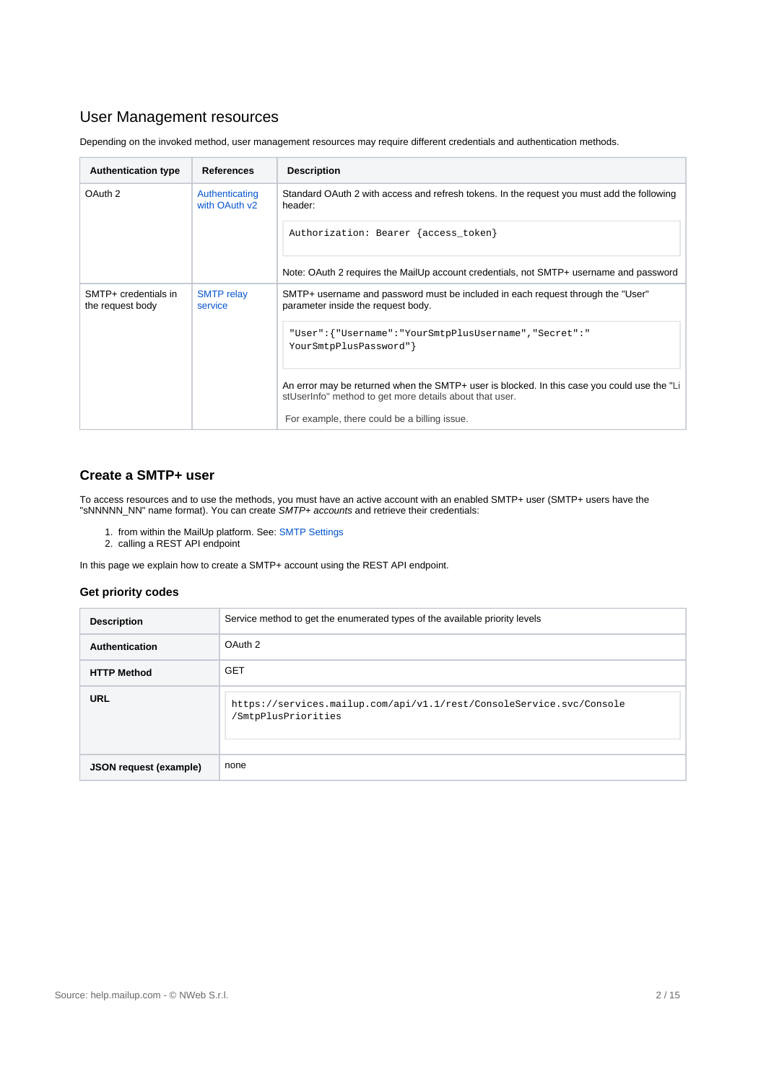## User Management resources

Depending on the invoked method, user management resources may require different credentials and authentication methods.

| <b>Authentication type</b>               | <b>References</b>               | <b>Description</b>                                                                                                                                     |  |
|------------------------------------------|---------------------------------|--------------------------------------------------------------------------------------------------------------------------------------------------------|--|
| OAuth 2                                  | Authenticating<br>with OAuth v2 | Standard OAuth 2 with access and refresh tokens. In the request you must add the following<br>header:                                                  |  |
|                                          |                                 | Authorization: Bearer {access_token}                                                                                                                   |  |
|                                          |                                 | Note: OAuth 2 requires the MailUp account credentials, not SMTP+ username and password                                                                 |  |
| SMTP+ credentials in<br>the request body | <b>SMTP</b> relay<br>service    | SMTP+ username and password must be included in each request through the "User"<br>parameter inside the request body.                                  |  |
|                                          |                                 | "User": { "Username": "YourSmtpPlusUsername", "Secret": "<br>YourSmtpPlusPassword" }                                                                   |  |
|                                          |                                 | An error may be returned when the SMTP+ user is blocked. In this case you could use the "Li<br>stUserInfo" method to get more details about that user. |  |
|                                          |                                 | For example, there could be a billing issue.                                                                                                           |  |

## <span id="page-1-0"></span>**Create a SMTP+ user**

To access resources and to use the methods, you must have an active account with an enabled SMTP+ user (SMTP+ users have the "sNNNNN\_NN" name format). You can create SMTP+ accounts and retrieve their credentials:

- 1. from within the MailUp platform. See: [SMTP Settings](https://help.mailup.com/display/MUG/SMTP+Settings)
- 2. calling a REST API endpoint

In this page we explain how to create a SMTP+ account using the REST API endpoint.

#### <span id="page-1-1"></span>**Get priority codes**

| <b>Description</b>            | Service method to get the enumerated types of the available priority levels                 |  |
|-------------------------------|---------------------------------------------------------------------------------------------|--|
| Authentication                | OAuth 2                                                                                     |  |
| <b>HTTP Method</b>            | <b>GET</b>                                                                                  |  |
| <b>URL</b>                    | https://services.mailup.com/api/v1.1/rest/ConsoleService.svc/Console<br>/SmtpPlusPriorities |  |
| <b>JSON request (example)</b> | none                                                                                        |  |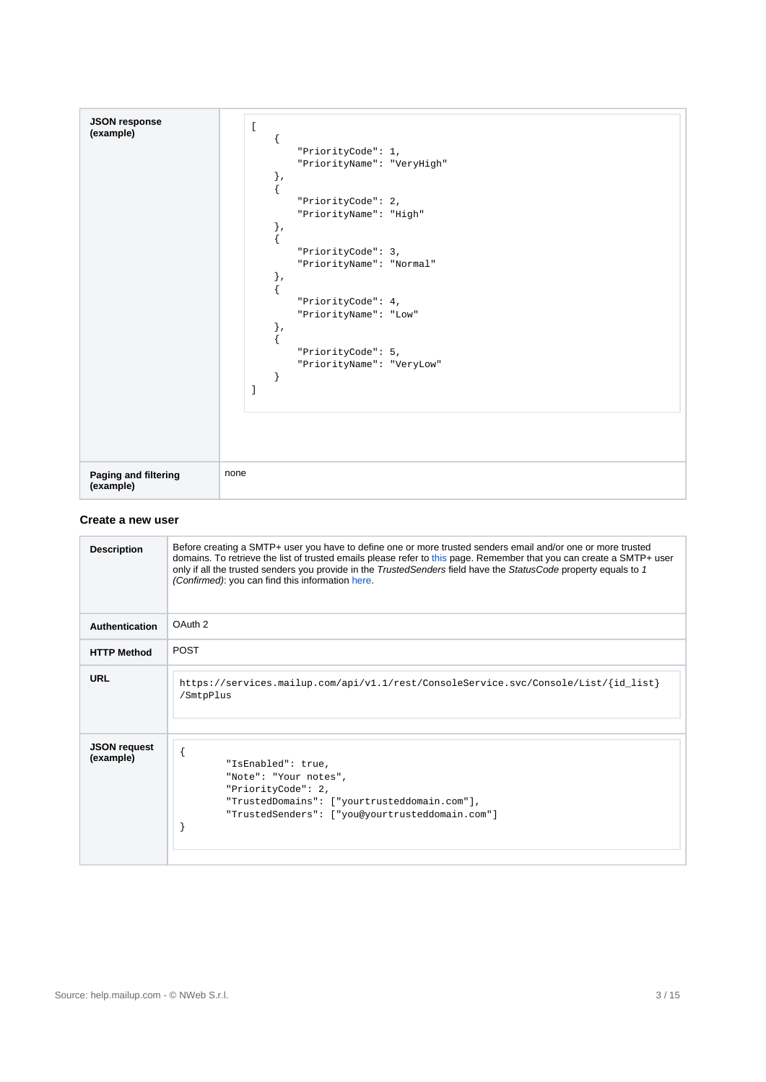| <b>JSON response</b> | $\mathbf{r}$               |
|----------------------|----------------------------|
| (example)            |                            |
|                      |                            |
|                      | "PriorityCode": $1,$       |
|                      | "PriorityName": "VeryHigh" |
|                      | $\}$ ,                     |
|                      | {                          |
|                      | "PriorityCode": 2,         |
|                      | "PriorityName": "High"     |
|                      | $\}$ ,                     |
|                      |                            |
|                      |                            |
|                      | "PriorityCode": 3,         |
|                      | "PriorityName": "Normal"   |
|                      | $\}$ ,                     |
|                      | €                          |
|                      | "PriorityCode": 4,         |
|                      | "PriorityName": "Low"      |
|                      | $\}$ ,                     |
|                      |                            |
|                      |                            |
|                      | "PriorityCode": 5,         |
|                      | "PriorityName": "VeryLow"  |
|                      |                            |
|                      | -1                         |
|                      |                            |
|                      |                            |
|                      |                            |
|                      |                            |
|                      |                            |
|                      |                            |
|                      |                            |
| Paging and filtering | none                       |
| (example)            |                            |

#### <span id="page-2-0"></span>**Create a new user**

| <b>Description</b>               | Before creating a SMTP+ user you have to define one or more trusted senders email and/or one or more trusted<br>domains. To retrieve the list of trusted emails please refer to this page. Remember that you can create a SMTP+ user<br>only if all the trusted senders you provide in the TrustedSenders field have the StatusCode property equals to 1<br>(Confirmed): you can find this information here. |  |  |  |
|----------------------------------|--------------------------------------------------------------------------------------------------------------------------------------------------------------------------------------------------------------------------------------------------------------------------------------------------------------------------------------------------------------------------------------------------------------|--|--|--|
| Authentication                   | OAuth <sub>2</sub>                                                                                                                                                                                                                                                                                                                                                                                           |  |  |  |
| <b>HTTP Method</b>               | <b>POST</b>                                                                                                                                                                                                                                                                                                                                                                                                  |  |  |  |
| <b>URL</b>                       | https://services.mailup.com/api/v1.1/rest/ConsoleService.svc/Console/List/{id_list}<br>/SmtpPlus                                                                                                                                                                                                                                                                                                             |  |  |  |
| <b>JSON request</b><br>(example) | "IsEnabled": true,<br>"Note": "Your notes",<br>"PriorityCode": 2,<br>"TrustedDomains": ["yourtrusteddomain.com"],<br>"TrustedSenders": [ "you@yourtrusteddomain.com"]                                                                                                                                                                                                                                        |  |  |  |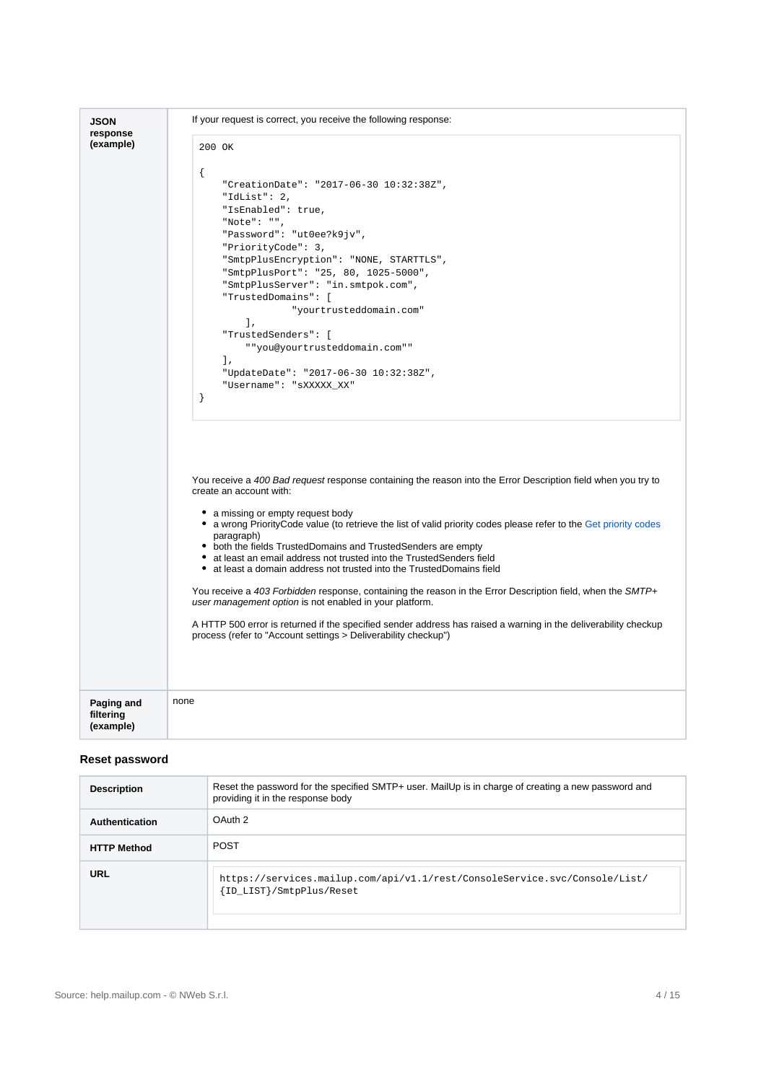| <b>JSON</b><br>response              | If your request is correct, you receive the following response:                                                                                                                                                                                                                                                                                                                                                                                                                                                                                                                                                                                                                                                                                                                                                                                                                                   |  |  |  |  |  |
|--------------------------------------|---------------------------------------------------------------------------------------------------------------------------------------------------------------------------------------------------------------------------------------------------------------------------------------------------------------------------------------------------------------------------------------------------------------------------------------------------------------------------------------------------------------------------------------------------------------------------------------------------------------------------------------------------------------------------------------------------------------------------------------------------------------------------------------------------------------------------------------------------------------------------------------------------|--|--|--|--|--|
| (example)                            | 200 OK                                                                                                                                                                                                                                                                                                                                                                                                                                                                                                                                                                                                                                                                                                                                                                                                                                                                                            |  |  |  |  |  |
|                                      | ₹<br>"CreationDate": "2017-06-30 10:32:38Z",<br>"IdList": $2,$<br>"IsEnabled": true,<br>"Note": "",<br>"Password": "ut0ee?k9jv",<br>"PriorityCode": 3,<br>"SmtpPlusEncryption": "NONE, STARTTLS",<br>"SmtpPlusPort": "25, 80, 1025-5000",<br>"SmtpPlusServer": "in.smtpok.com",<br>"TrustedDomains": [<br>"yourtrusteddomain.com"<br>$\cdot$<br>"TrustedSenders": [<br>" "you@yourtrusteddomain.com""<br>1,<br>"UpdateDate": "2017-06-30 10:32:38Z",<br>"Username": "sXXXXX_XX"<br><sup>}</sup>                                                                                                                                                                                                                                                                                                                                                                                                   |  |  |  |  |  |
|                                      | You receive a 400 Bad request response containing the reason into the Error Description field when you try to<br>create an account with:<br>• a missing or empty request body<br>• a wrong PriorityCode value (to retrieve the list of valid priority codes please refer to the Get priority codes<br>paragraph)<br>• both the fields TrustedDomains and TrustedSenders are empty<br>• at least an email address not trusted into the TrustedSenders field<br>• at least a domain address not trusted into the TrustedDomains field<br>You receive a 403 Forbidden response, containing the reason in the Error Description field, when the SMTP+<br>user management option is not enabled in your platform.<br>A HTTP 500 error is returned if the specified sender address has raised a warning in the deliverability checkup<br>process (refer to "Account settings > Deliverability checkup") |  |  |  |  |  |
| Paging and<br>filtering<br>(example) | none                                                                                                                                                                                                                                                                                                                                                                                                                                                                                                                                                                                                                                                                                                                                                                                                                                                                                              |  |  |  |  |  |

#### <span id="page-3-0"></span>**Reset password**

| <b>Description</b> | Reset the password for the specified SMTP+ user. MailUp is in charge of creating a new password and<br>providing it in the response body |
|--------------------|------------------------------------------------------------------------------------------------------------------------------------------|
| Authentication     | OAuth <sub>2</sub>                                                                                                                       |
| <b>HTTP Method</b> | <b>POST</b>                                                                                                                              |
| <b>URL</b>         | https://services.mailup.com/api/v1.1/rest/ConsoleService.svc/Console/List/<br>{ID_LIST}/SmtpPlus/Reset                                   |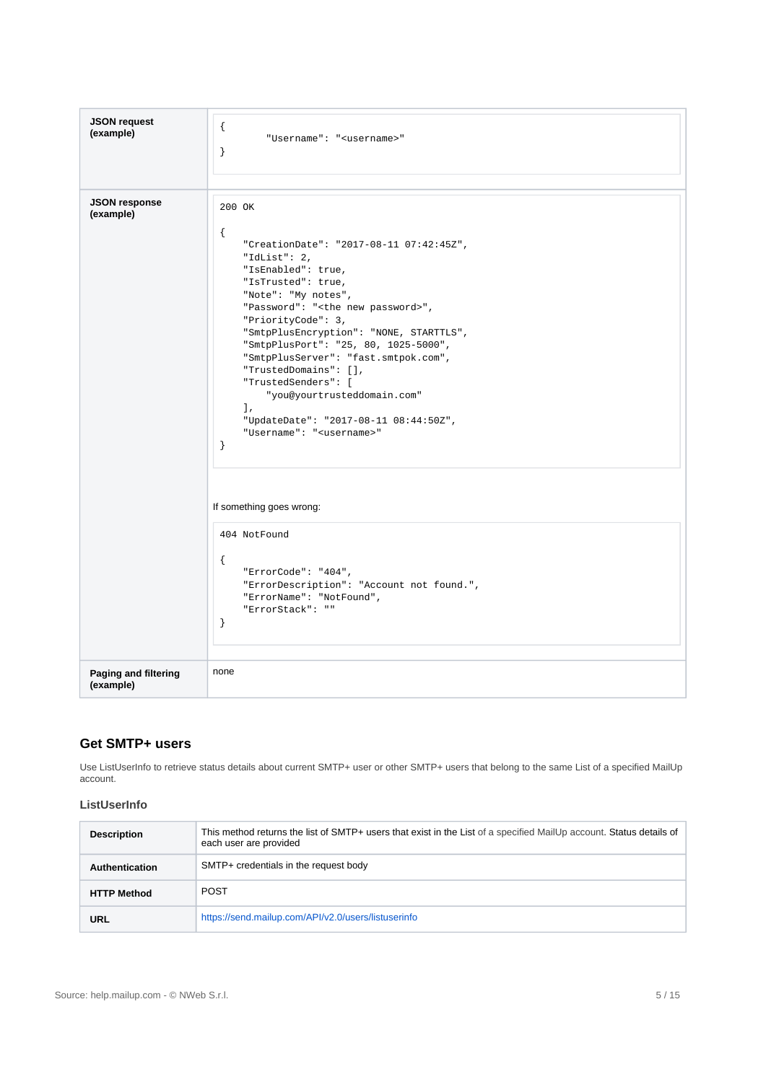| <b>JSON request</b><br>(example)  | $\{$<br>"Username": " <username>"<br/><math>\}</math></username>                                                                                                                                                                                                                                                                                                                                                                                                                                                                                                                                                                                                                                                                                            |
|-----------------------------------|-------------------------------------------------------------------------------------------------------------------------------------------------------------------------------------------------------------------------------------------------------------------------------------------------------------------------------------------------------------------------------------------------------------------------------------------------------------------------------------------------------------------------------------------------------------------------------------------------------------------------------------------------------------------------------------------------------------------------------------------------------------|
| <b>JSON response</b><br>(example) | 200 OK<br>$\{$<br>"CreationDate": "2017-08-11 07:42:45Z",<br>"IdList": $2,$<br>"IsEnabled": true,<br>"IsTrusted": true,<br>"Note": "My notes",<br>"Password": " <the new="" password="">",<br/>"PriorityCode": 3,<br/>"SmtpPlusEncryption": "NONE, STARTTLS",<br/>"SmtpPlusPort": "25, 80, 1025-5000",<br/>"SmtpPlusServer": "fast.smtpok.com",<br/>"TrustedDomains": <math>[]</math>,<br/>"TrustedSenders": [<br/>"you@yourtrusteddomain.com"<br/>1,<br/>"UpdateDate": "2017-08-11 08:44:50Z",<br/>"Username": "<username>"<br/><math>\}</math><br/>If something goes wrong:<br/>404 NotFound<br/><math>\{</math><br/>"ErrorCode": "404",<br/>"ErrorDescription": "Account not found.",<br/>"ErrorName": "NotFound",<br/>"ErrorStack": ""</username></the> |
| Paging and filtering              | $\}$<br>none                                                                                                                                                                                                                                                                                                                                                                                                                                                                                                                                                                                                                                                                                                                                                |
| (example)                         |                                                                                                                                                                                                                                                                                                                                                                                                                                                                                                                                                                                                                                                                                                                                                             |

#### <span id="page-4-0"></span>**Get SMTP+ users**

Use ListUserInfo to retrieve status details about current SMTP+ user or other SMTP+ users that belong to the same List of a specified MailUp account.

#### <span id="page-4-1"></span>**ListUserInfo**

| <b>Description</b>    | This method returns the list of SMTP+ users that exist in the List of a specified MailUp account. Status details of<br>each user are provided |  |
|-----------------------|-----------------------------------------------------------------------------------------------------------------------------------------------|--|
| <b>Authentication</b> | SMTP+ credentials in the request body                                                                                                         |  |
| <b>HTTP Method</b>    | <b>POST</b>                                                                                                                                   |  |
| URL                   | https://send.mailup.com/API/v2.0/users/listuserinfo                                                                                           |  |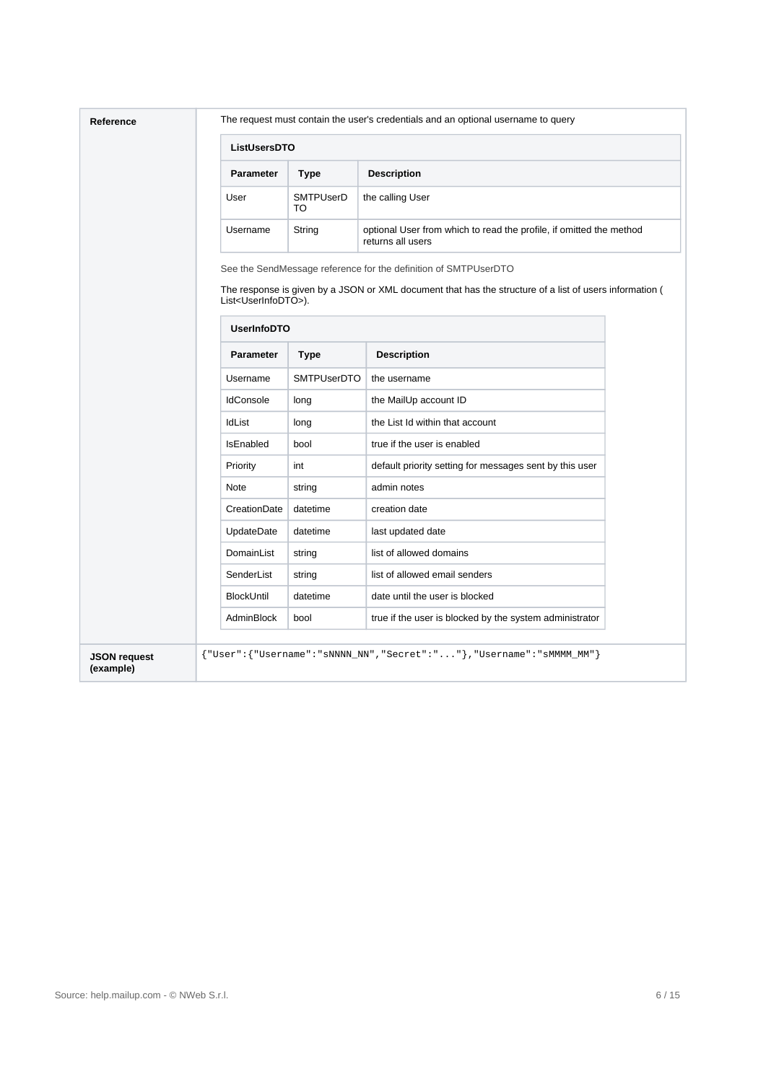|                                  | ListUsersDTO                                              |                    |                                                                                                                                                                            |  |  |
|----------------------------------|-----------------------------------------------------------|--------------------|----------------------------------------------------------------------------------------------------------------------------------------------------------------------------|--|--|
|                                  | <b>Parameter</b>                                          | <b>Type</b>        | <b>Description</b>                                                                                                                                                         |  |  |
|                                  | <b>SMTPUserD</b><br>the calling User<br>User<br>TO        |                    |                                                                                                                                                                            |  |  |
|                                  | Username                                                  | String             | optional User from which to read the profile, if omitted the method<br>returns all users                                                                                   |  |  |
|                                  | List <userinfodto>).<br/><b>UserInfoDTO</b></userinfodto> |                    | See the SendMessage reference for the definition of SMTPUserDTO<br>The response is given by a JSON or XML document that has the structure of a list of users information ( |  |  |
|                                  | <b>Parameter</b>                                          | <b>Type</b>        | <b>Description</b>                                                                                                                                                         |  |  |
|                                  | Username                                                  | <b>SMTPUserDTO</b> | the username                                                                                                                                                               |  |  |
|                                  | <b>IdConsole</b>                                          | long               | the MailUp account ID                                                                                                                                                      |  |  |
|                                  | <b>IdList</b>                                             | long               | the List Id within that account                                                                                                                                            |  |  |
|                                  | <b>IsEnabled</b>                                          | bool               | true if the user is enabled                                                                                                                                                |  |  |
|                                  | Priority                                                  | int                | default priority setting for messages sent by this user                                                                                                                    |  |  |
|                                  | Note                                                      | string             | admin notes                                                                                                                                                                |  |  |
|                                  | CreationDate                                              | datetime           | creation date                                                                                                                                                              |  |  |
|                                  | UpdateDate                                                | datetime           | last updated date                                                                                                                                                          |  |  |
|                                  | DomainList                                                | string             | list of allowed domains                                                                                                                                                    |  |  |
|                                  | SenderList                                                | string             | list of allowed email senders                                                                                                                                              |  |  |
|                                  | <b>BlockUntil</b>                                         | datetime           | date until the user is blocked                                                                                                                                             |  |  |
|                                  | AdminBlock                                                | bool               | true if the user is blocked by the system administrator                                                                                                                    |  |  |
| <b>JSON request</b><br>(example) |                                                           |                    | {"User":{"Username":"sNNNN_NN","Secret":""},"Username":"sMMMM_MM"}                                                                                                         |  |  |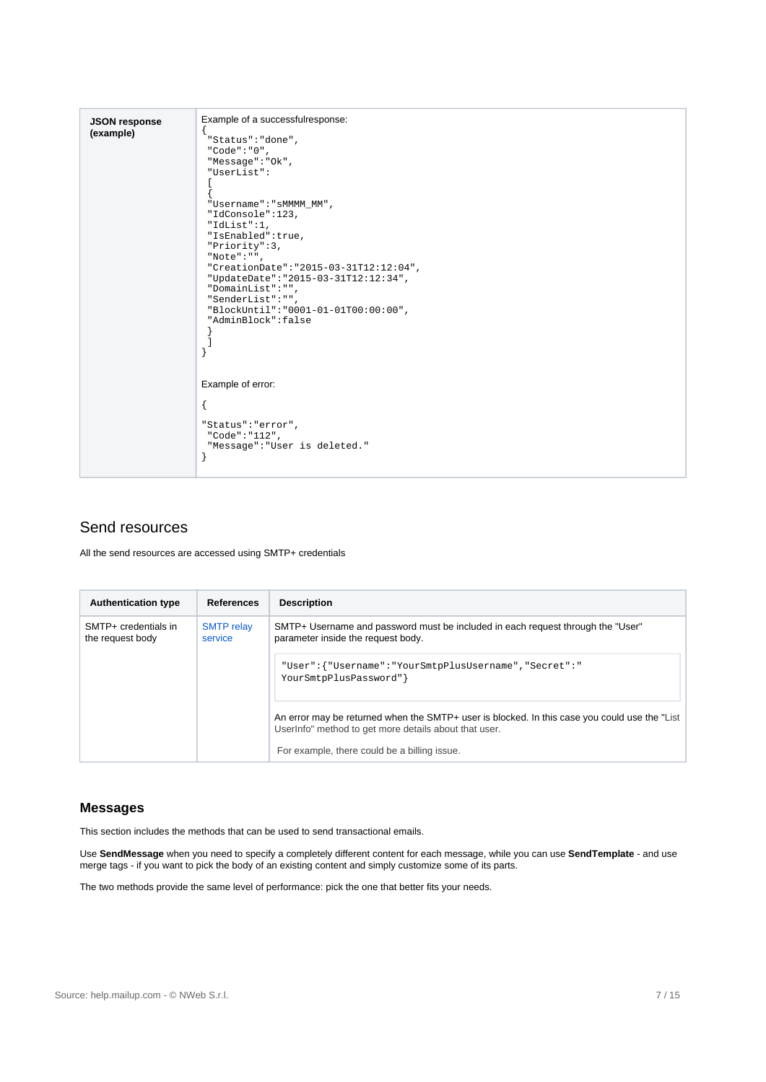| <b>JSON response</b> | Example of a successfulresponse:         |
|----------------------|------------------------------------------|
| (example)            | "Status": "done",<br>"Code": " $0$ ",    |
|                      | "Message": "Ok",                         |
|                      | "UserList":                              |
|                      |                                          |
|                      | "Username": "sMMMM_MM",                  |
|                      | "IdConsole":123,                         |
|                      | "IdList":1,                              |
|                      | "IsEnabled":true,                        |
|                      | "Priority":3,                            |
|                      | "Note" : "".                             |
|                      | "CreationDate": "2015-03-31T12:12:04",   |
|                      | "UpdateDate": "2015-03-31T12:12:34",     |
|                      | "DomainList":"",                         |
|                      | "SenderList":"",                         |
|                      | "BlockUntil": "0001-01-01T00:00:00",     |
|                      | "AdminBlock":false                       |
|                      |                                          |
|                      |                                          |
|                      |                                          |
|                      |                                          |
|                      | Example of error:                        |
|                      | $\{$                                     |
|                      | "Status": "error",<br>"Code": " $112$ ", |
|                      | "Message": "User is deleted."            |
|                      | ł                                        |
|                      |                                          |
|                      |                                          |

## <span id="page-6-0"></span>Send resources

All the send resources are accessed using SMTP+ credentials

| <b>Authentication type</b>               | <b>References</b>            | <b>Description</b>                                                                                                                                                                                     |  |
|------------------------------------------|------------------------------|--------------------------------------------------------------------------------------------------------------------------------------------------------------------------------------------------------|--|
| SMTP+ credentials in<br>the request body | <b>SMTP</b> relay<br>service | SMTP+ Username and password must be included in each request through the "User"<br>parameter inside the request body.                                                                                  |  |
|                                          |                              | "User":{"Username":"YourSmtpPlusUsername","Secret":"<br>YourSmtpPlusPassword"                                                                                                                          |  |
|                                          |                              | An error may be returned when the SMTP+ user is blocked. In this case you could use the "List<br>UserInfo" method to get more details about that user.<br>For example, there could be a billing issue. |  |

#### <span id="page-6-1"></span>**Messages**

This section includes the methods that can be used to send transactional emails.

Use **SendMessage** when you need to specify a completely different content for each message, while you can use **SendTemplate** - and use merge tags - if you want to pick the body of an existing content and simply customize some of its parts.

The two methods provide the same level of performance: pick the one that better fits your needs.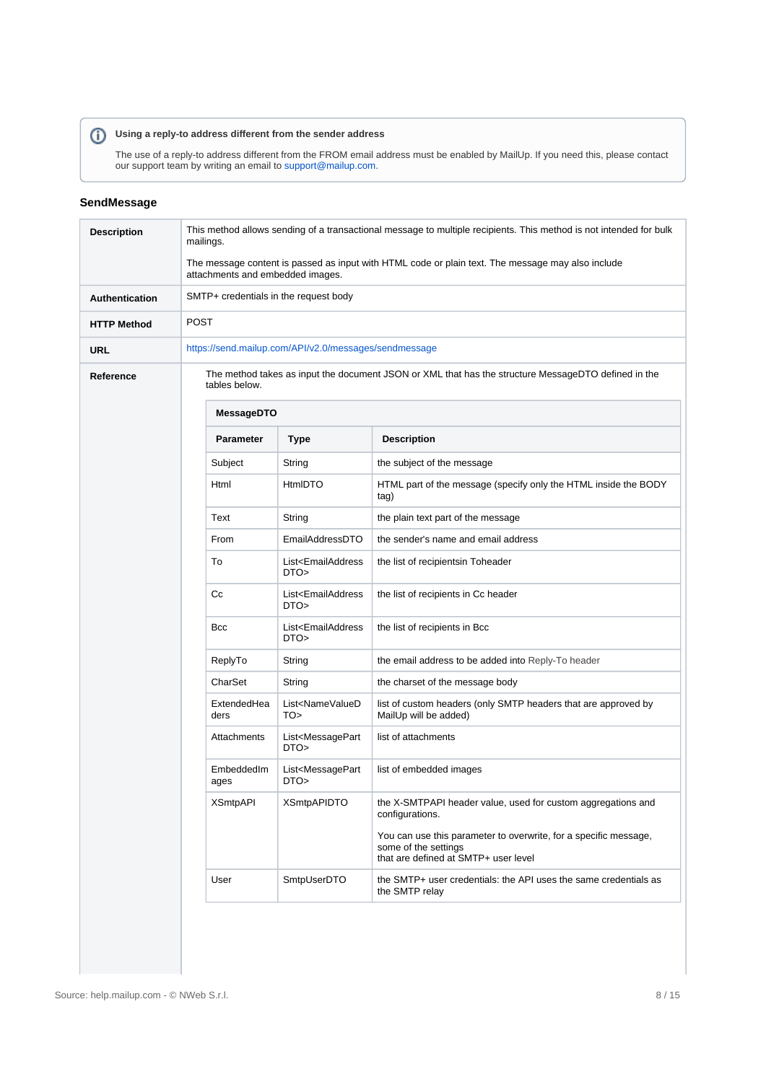## **Using a reply-to address different from the sender address**

The use of a reply-to address different from the FROM email address must be enabled by MailUp. If you need this, please contact our support team by writing an email to [support@mailup.com](mailto:support@mailup.com).

#### <span id="page-7-0"></span>**SendMessage**

| <b>Description</b>    | This method allows sending of a transactional message to multiple recipients. This method is not intended for bulk<br>mailings.       |                                                       |                                                                                                                                                     |  |  |
|-----------------------|---------------------------------------------------------------------------------------------------------------------------------------|-------------------------------------------------------|-----------------------------------------------------------------------------------------------------------------------------------------------------|--|--|
|                       | The message content is passed as input with HTML code or plain text. The message may also include<br>attachments and embedded images. |                                                       |                                                                                                                                                     |  |  |
| <b>Authentication</b> | SMTP+ credentials in the request body                                                                                                 |                                                       |                                                                                                                                                     |  |  |
| <b>HTTP Method</b>    | POST                                                                                                                                  |                                                       |                                                                                                                                                     |  |  |
| URL                   |                                                                                                                                       | https://send.mailup.com/API/v2.0/messages/sendmessage |                                                                                                                                                     |  |  |
| Reference             | The method takes as input the document JSON or XML that has the structure MessageDTO defined in the<br>tables below.                  |                                                       |                                                                                                                                                     |  |  |
|                       | MessageDTO                                                                                                                            |                                                       |                                                                                                                                                     |  |  |
|                       | <b>Parameter</b>                                                                                                                      | <b>Type</b>                                           | <b>Description</b>                                                                                                                                  |  |  |
|                       | Subject                                                                                                                               | String                                                | the subject of the message                                                                                                                          |  |  |
|                       | Html                                                                                                                                  | <b>HtmIDTO</b>                                        | HTML part of the message (specify only the HTML inside the BODY<br>tag)                                                                             |  |  |
|                       | Text                                                                                                                                  | String                                                | the plain text part of the message                                                                                                                  |  |  |
|                       | From                                                                                                                                  | EmailAddressDTO                                       | the sender's name and email address                                                                                                                 |  |  |
|                       | To                                                                                                                                    | List <emailaddress<br>DTO&gt;</emailaddress<br>       | the list of recipientsin Toheader                                                                                                                   |  |  |
|                       | Сc                                                                                                                                    | List <emailaddress<br>DTO&gt;</emailaddress<br>       | the list of recipients in Cc header                                                                                                                 |  |  |
|                       | <b>Bcc</b>                                                                                                                            | List <emailaddress<br>DTO&gt;</emailaddress<br>       | the list of recipients in Bcc                                                                                                                       |  |  |
|                       | ReplyTo                                                                                                                               | String                                                | the email address to be added into Reply-To header                                                                                                  |  |  |
|                       | CharSet                                                                                                                               | String                                                | the charset of the message body                                                                                                                     |  |  |
|                       | ExtendedHea<br>ders                                                                                                                   | List <namevalued<br>TO&gt;</namevalued<br>            | list of custom headers (only SMTP headers that are approved by<br>MailUp will be added)                                                             |  |  |
|                       | Attachments                                                                                                                           | List <messagepart<br>DTO&gt;</messagepart<br>         | list of attachments                                                                                                                                 |  |  |
|                       | EmbeddedIm<br>ages                                                                                                                    | List <messagepart<br>DTO&gt;</messagepart<br>         | list of embedded images                                                                                                                             |  |  |
|                       | <b>XSmtpAPI</b>                                                                                                                       | <b>XSmtpAPIDTO</b>                                    | the X-SMTPAPI header value, used for custom aggregations and<br>configurations.<br>You can use this parameter to overwrite, for a specific message, |  |  |
|                       |                                                                                                                                       |                                                       | some of the settings<br>that are defined at SMTP+ user level                                                                                        |  |  |
|                       | User                                                                                                                                  | SmtpUserDTO                                           | the SMTP+ user credentials: the API uses the same credentials as<br>the SMTP relay                                                                  |  |  |
|                       |                                                                                                                                       |                                                       |                                                                                                                                                     |  |  |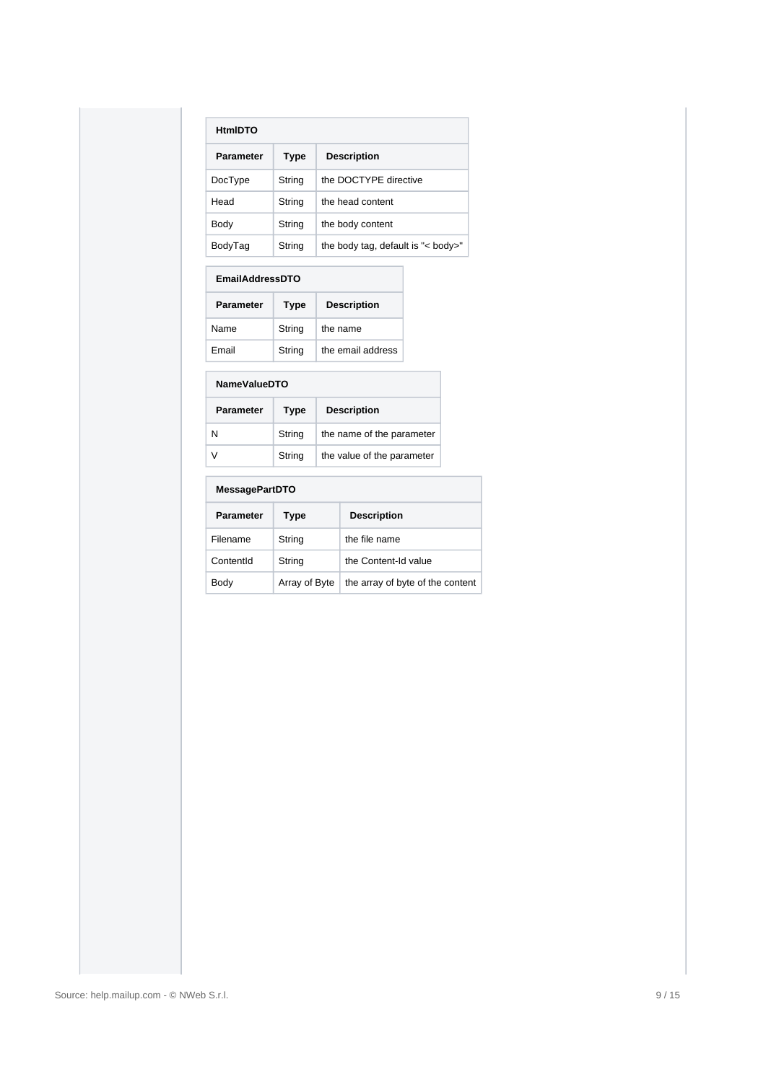| <b>HtmIDTO</b>   |             |                                    |  |
|------------------|-------------|------------------------------------|--|
| <b>Parameter</b> | <b>Type</b> | <b>Description</b>                 |  |
| DocType          | String      | the DOCTYPF directive              |  |
| Head             | String      | the head content                   |  |
| Body             | String      | the body content                   |  |
| BodyTag          | String      | the body tag, default is "< body>" |  |

| <b>EmailAddressDTO</b> |             |                    |  |
|------------------------|-------------|--------------------|--|
| <b>Parameter</b>       | <b>Type</b> | <b>Description</b> |  |
| Name                   | String      | the name           |  |
| Fmail                  | String      | the email address  |  |

#### **NameValueDTO**

| <b>Parameter</b> | <b>Type</b> | <b>Description</b>         |
|------------------|-------------|----------------------------|
| N                | String      | the name of the parameter  |
| V                | String      | the value of the parameter |

#### **MessagePartDTO**

| <b>Parameter</b> | Type          | <b>Description</b>               |
|------------------|---------------|----------------------------------|
| Filename         | String        | the file name                    |
| ContentId        | String        | the Content-Id value             |
| Body             | Array of Byte | the array of byte of the content |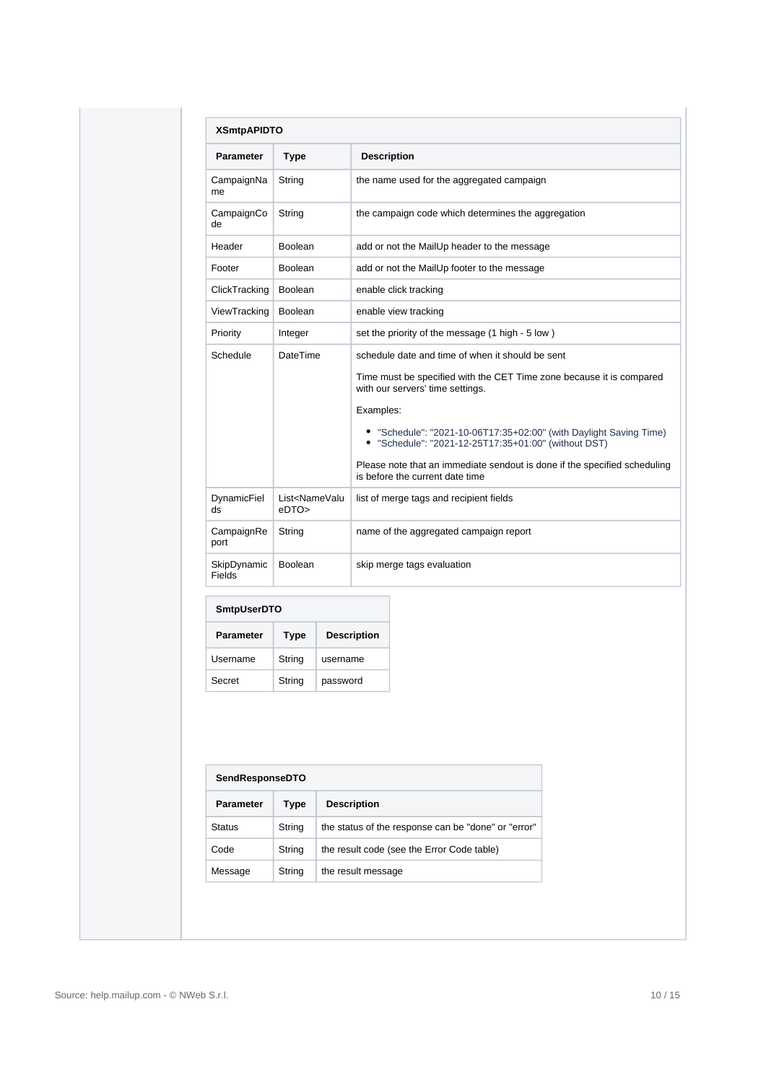| <b>XSmtpAPIDTO</b>    |                                      |                                                                                                                            |
|-----------------------|--------------------------------------|----------------------------------------------------------------------------------------------------------------------------|
| <b>Parameter</b>      | <b>Type</b>                          | <b>Description</b>                                                                                                         |
| CampaignNa<br>me      | String                               | the name used for the aggregated campaign                                                                                  |
| CampaignCo<br>de      | String                               | the campaign code which determines the aggregation                                                                         |
| Header                | Boolean                              | add or not the MailUp header to the message                                                                                |
| Footer                | Boolean                              | add or not the MailUp footer to the message                                                                                |
| ClickTracking         | Boolean                              | enable click tracking                                                                                                      |
| ViewTracking          | Boolean                              | enable view tracking                                                                                                       |
| Priority              | Integer                              | set the priority of the message (1 high - 5 low)                                                                           |
| Schedule              | <b>DateTime</b>                      | schedule date and time of when it should be sent                                                                           |
|                       |                                      | Time must be specified with the CET Time zone because it is compared<br>with our servers' time settings.                   |
|                       |                                      | Examples:                                                                                                                  |
|                       |                                      | • "Schedule": "2021-10-06T17:35+02:00" (with Daylight Saving Time)<br>• "Schedule": "2021-12-25T17:35+01:00" (without DST) |
|                       |                                      | Please note that an immediate sendout is done if the specified scheduling<br>is before the current date time               |
| DynamicFiel<br>ds     | List <namevalu<br>eDTO</namevalu<br> | list of merge tags and recipient fields                                                                                    |
| CampaignRe<br>port    | String                               | name of the aggregated campaign report                                                                                     |
| SkipDynamic<br>Fields | <b>Boolean</b>                       | skip merge tags evaluation                                                                                                 |

| <b>SmtpUserDTO</b> |             |                    |
|--------------------|-------------|--------------------|
| <b>Parameter</b>   | <b>Type</b> | <b>Description</b> |
| Username           | String      | username           |
| Secret             | String      | password           |

| <b>SendResponseDTO</b> |             |                                                     |  |
|------------------------|-------------|-----------------------------------------------------|--|
| <b>Parameter</b>       | <b>Type</b> | <b>Description</b>                                  |  |
| <b>Status</b>          | String      | the status of the response can be "done" or "error" |  |
| Code                   | String      | the result code (see the Error Code table)          |  |
| Message                | String      | the result message                                  |  |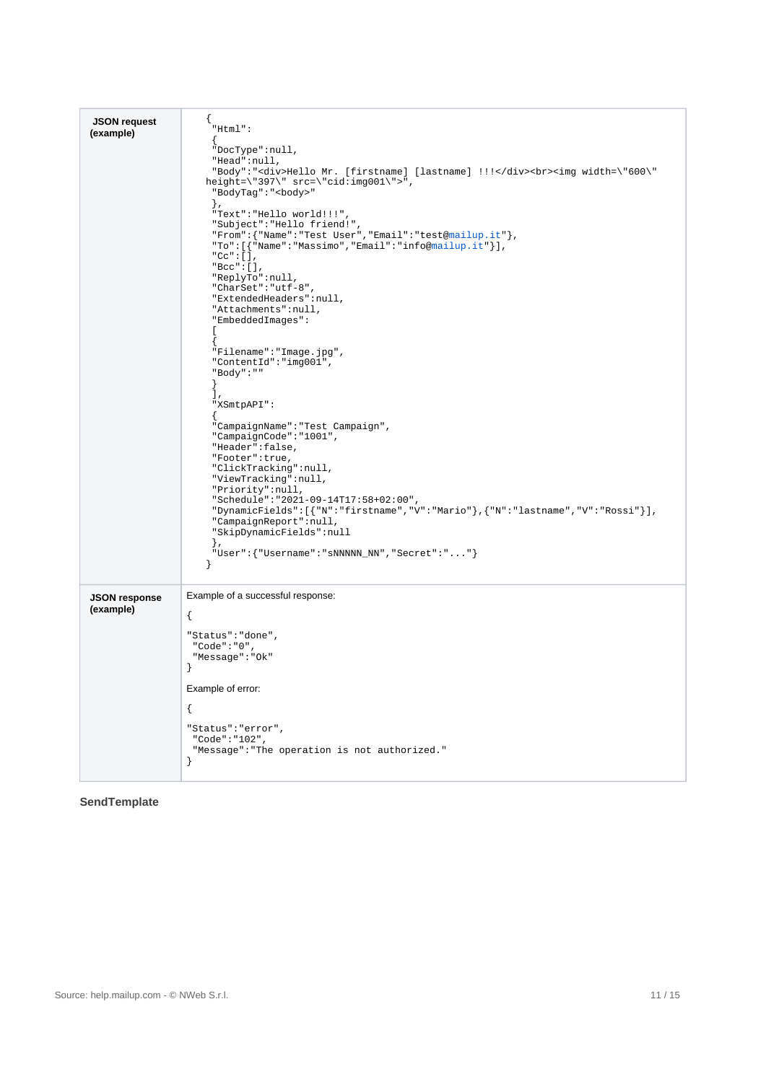| <b>JSON request</b><br>(example)  | {<br>$"Html"$ :<br>"DocType":null,<br>"Head":null,<br>"Body":" <div>Hello Mr. [firstname] [lastname] !!!</div><br><img width='\"600\"&lt;br'/> height=\"397\" src=\"cid:img001\">",<br>"BodyTag": " <body>"<br/><math>\}</math>,<br/>"Text": "Hello world!!!",<br/>"Subject": "Hello friend!",<br/><math display="block">"From": \{\text{"Name": "Test User", "Email": "test@main!up.it"\},</math><br/>"To": [{"Name": "Massimo", "Email": "info@mailup.it"}],<br/>"<math>Cc</math>": [],<br/><math>"Bcc" : []</math>,<br/>"ReplyTo":null,<br/>"CharSet": "utf-8",<br/>"ExtendedHeaders": null,<br/>"Attachments": null,<br/>"EmbeddedImages":<br/><math>\mathbf{L}</math><br/>"Filename":"Image.jpg",<br/>"ContentId":"img001",<br/>"Body":""<br/>Ι,<br/>"XSmtpAPI":<br/>"CampaignName": "Test Campaign",<br/>"CampaignCode": "1001",<br/>"Header":false,<br/>"Footer":true,<br/>"ClickTracking":null,<br/>"ViewTracking":null,<br/>"Priority": null,<br/>"Schedule": "2021-09-14T17:58+02:00",<br/>"DynamicFields": [{"N":"firstname","V":"Mario"}, {"N":"lastname","V":"Rossi"}],<br/>"CampaignReport": null,</body> |
|-----------------------------------|-------------------------------------------------------------------------------------------------------------------------------------------------------------------------------------------------------------------------------------------------------------------------------------------------------------------------------------------------------------------------------------------------------------------------------------------------------------------------------------------------------------------------------------------------------------------------------------------------------------------------------------------------------------------------------------------------------------------------------------------------------------------------------------------------------------------------------------------------------------------------------------------------------------------------------------------------------------------------------------------------------------------------------------------------------------------------------------------------------------------------|
|                                   | "SkipDynamicFields":null<br>$\}$ ,<br>"User": { "Username": "sNNNNN_NN", "Secret": "" }                                                                                                                                                                                                                                                                                                                                                                                                                                                                                                                                                                                                                                                                                                                                                                                                                                                                                                                                                                                                                                 |
| <b>JSON response</b><br>(example) | Example of a successful response:<br>$\{$<br>"Status": "done",<br>"Code":"0",<br>"Message": "Ok"<br>$\big\}$<br>Example of error:<br>$\{$<br>"Status": "error",<br>"Code":"102",<br>"Message": "The operation is not authorized."<br>ł                                                                                                                                                                                                                                                                                                                                                                                                                                                                                                                                                                                                                                                                                                                                                                                                                                                                                  |

<span id="page-10-0"></span>**SendTemplate**

A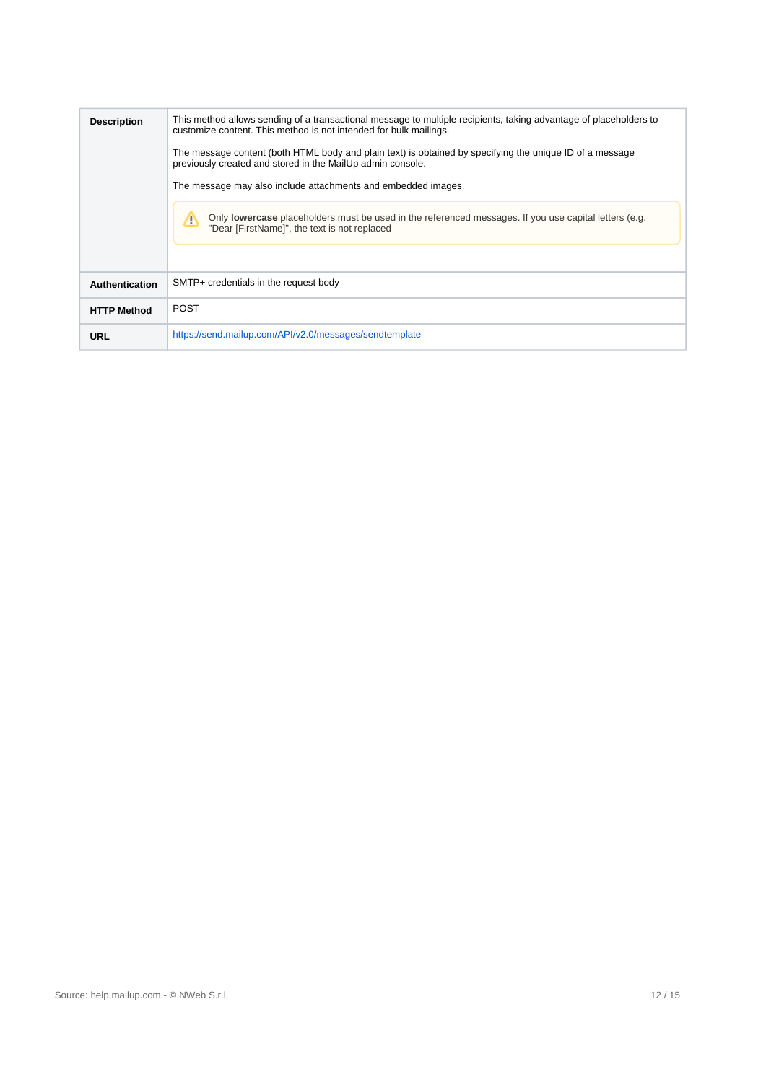| <b>Description</b> | This method allows sending of a transactional message to multiple recipients, taking advantage of placeholders to<br>customize content. This method is not intended for bulk mailings.<br>The message content (both HTML body and plain text) is obtained by specifying the unique ID of a message<br>previously created and stored in the MailUp admin console.<br>The message may also include attachments and embedded images.<br>Only <b>lowercase</b> placeholders must be used in the referenced messages. If you use capital letters (e.g.<br>"Dear [FirstName]", the text is not replaced |
|--------------------|---------------------------------------------------------------------------------------------------------------------------------------------------------------------------------------------------------------------------------------------------------------------------------------------------------------------------------------------------------------------------------------------------------------------------------------------------------------------------------------------------------------------------------------------------------------------------------------------------|
| Authentication     | SMTP+ credentials in the request body                                                                                                                                                                                                                                                                                                                                                                                                                                                                                                                                                             |
| <b>HTTP Method</b> | <b>POST</b>                                                                                                                                                                                                                                                                                                                                                                                                                                                                                                                                                                                       |
| URL                | https://send.mailup.com/API/v2.0/messages/sendtemplate                                                                                                                                                                                                                                                                                                                                                                                                                                                                                                                                            |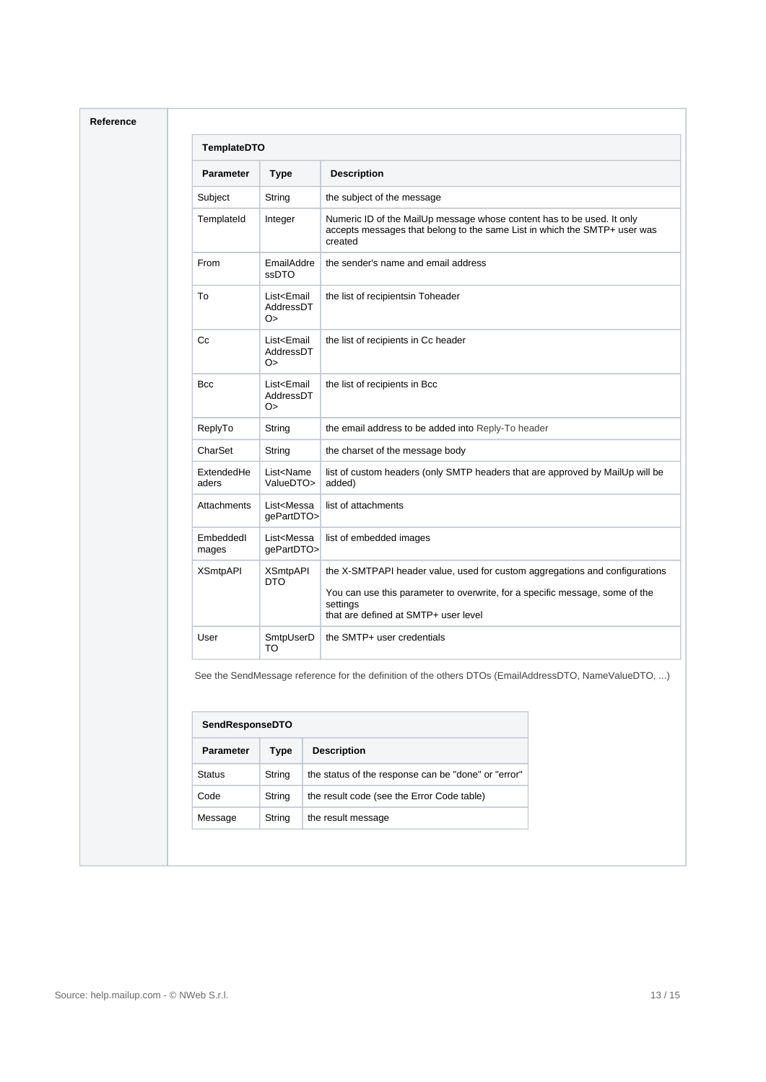| <b>Parameter</b>    | <b>Type</b>                                   | <b>Description</b>                                                                                                                                                                                              |
|---------------------|-----------------------------------------------|-----------------------------------------------------------------------------------------------------------------------------------------------------------------------------------------------------------------|
| Subject             | String                                        | the subject of the message                                                                                                                                                                                      |
| TemplateId          | Integer                                       | Numeric ID of the MailUp message whose content has to be used. It only<br>accepts messages that belong to the same List in which the SMTP+ user was<br>created                                                  |
| From                | EmailAddre<br>ssDTO                           | the sender's name and email address                                                                                                                                                                             |
| To                  | List <email<br>AddressDT<br/>O&gt;</email<br> | the list of recipientsin Toheader                                                                                                                                                                               |
| Cc                  | List <email<br>AddressDT<br/>O&gt;</email<br> | the list of recipients in Cc header                                                                                                                                                                             |
| <b>Bcc</b>          | List <email<br>AddressDT<br/>O&gt;</email<br> | the list of recipients in Bcc                                                                                                                                                                                   |
| ReplyTo             | String                                        | the email address to be added into Reply-To header                                                                                                                                                              |
| CharSet             | String                                        | the charset of the message body                                                                                                                                                                                 |
| ExtendedHe<br>aders | List <name<br>ValueDTO&gt;</name<br>          | list of custom headers (only SMTP headers that are approved by MailUp will be<br>added)                                                                                                                         |
| Attachments         | List <messa<br>gePartDTO&gt;</messa<br>       | list of attachments                                                                                                                                                                                             |
| Embeddedl<br>mages  | List <messa<br>qePartDTO&gt;</messa<br>       | list of embedded images                                                                                                                                                                                         |
| <b>XSmtpAPI</b>     | <b>XSmtpAPI</b><br><b>DTO</b>                 | the X-SMTPAPI header value, used for custom aggregations and configurations<br>You can use this parameter to overwrite, for a specific message, some of the<br>settings<br>that are defined at SMTP+ user level |
| User                | SmtpUserD<br>TO                               | the SMTP+ user credentials                                                                                                                                                                                      |

| <b>SendResponseDTO</b> |                                                     |  |
|------------------------|-----------------------------------------------------|--|
| Type                   | <b>Description</b>                                  |  |
| String                 | the status of the response can be "done" or "error" |  |
| String                 | the result code (see the Error Code table)          |  |
| String                 | the result message                                  |  |
|                        |                                                     |  |